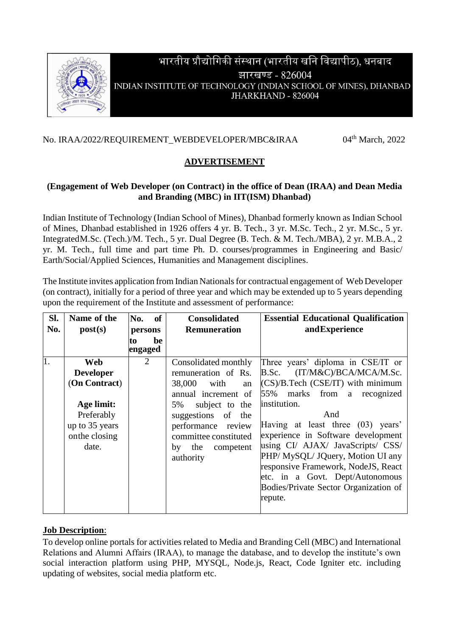

# भारतीय प्रौद्योगिकी संस्थान (भारतीय खनि विद्यापीठ), धनबाद झारखण्ड - 826004 INDIAN INSTITUTE OF TECHNOLOGY (INDIAN SCHOOL OF MINES), DHANBAD JHARKHAND - 826004

#### No. [IRAA/2022/REQUIREMENT\\_WEBDEVELOPER/MBC&IRAA](https://eoffice.iitism.ac.in/eFile/?x=ECs57rldJMvhsB-rQLQWcIsHwCUc35Yn)

 $04<sup>th</sup>$  March, 2022

### **ADVERTISEMENT**

#### **(Engagement of Web Developer (on Contract) in the office of Dean (IRAA) and Dean Media and Branding (MBC) in IIT(ISM) Dhanbad)**

Indian Institute of Technology (Indian School of Mines), Dhanbad formerly known as Indian School of Mines, Dhanbad established in 1926 offers 4 yr. B. Tech., 3 yr. M.Sc. Tech., 2 yr. M.Sc., 5 yr. IntegratedM.Sc. (Tech.)/M. Tech., 5 yr. Dual Degree (B. Tech. & M. Tech./MBA), 2 yr. M.B.A., 2 yr. M. Tech., full time and part time Ph. D. courses/programmes in Engineering and Basic/ Earth/Social/Applied Sciences, Humanities and Management disciplines.

The Institute invites application from Indian Nationals for contractual engagement of Web Developer (on contract), initially for a period of three year and which may be extended up to 5 years depending upon the requirement of the Institute and assessment of performance:

| Sl.<br>No. | Name of the<br>post(s)                                                                                   | <b>of</b><br>No.<br>persons<br>be<br>to | <b>Consolidated</b><br><b>Remuneration</b>                                                                                                                                                 | <b>Essential Educational Qualification</b><br>andExperience                                                                                                                                                                                                                              |
|------------|----------------------------------------------------------------------------------------------------------|-----------------------------------------|--------------------------------------------------------------------------------------------------------------------------------------------------------------------------------------------|------------------------------------------------------------------------------------------------------------------------------------------------------------------------------------------------------------------------------------------------------------------------------------------|
|            |                                                                                                          | engaged                                 |                                                                                                                                                                                            |                                                                                                                                                                                                                                                                                          |
| 1.         | Web<br><b>Developer</b><br>(On Contract)<br>Age limit:<br>Preferably<br>up to 35 years<br>on the closing | 2                                       | Consolidated monthly<br>remuneration of Rs.<br>38,000<br>with<br>an<br>annual increment of<br>subject to the<br>5%<br>suggestions of<br>the<br>performance review<br>committee constituted | Three years' diploma in CSE/IT or<br>B.Sc. (IT/M&C)/BCA/MCA/M.Sc.<br>$(CS)/B$ . Tech $(CSE/IT)$ with minimum<br>55% marks from<br>recognized<br>a<br>institution.<br>And<br>Having at least three (03) years'<br>experience in Software development<br>using CI/ AJAX/ JavaScripts/ CSS/ |
|            | date.                                                                                                    |                                         | the<br>competent<br>by<br>authority                                                                                                                                                        | PHP/ MySQL/ JQuery, Motion UI any<br>responsive Framework, NodeJS, React<br>etc. in a Govt. Dept/Autonomous<br>Bodies/Private Sector Organization of<br>repute.                                                                                                                          |

#### **Job Description**:

To develop online portals for activities related to Media and Branding Cell (MBC) and International Relations and Alumni Affairs (IRAA), to manage the database, and to develop the institute's own social interaction platform using PHP, MYSQL, Node.js, React, Code Igniter etc. including updating of websites, social media platform etc.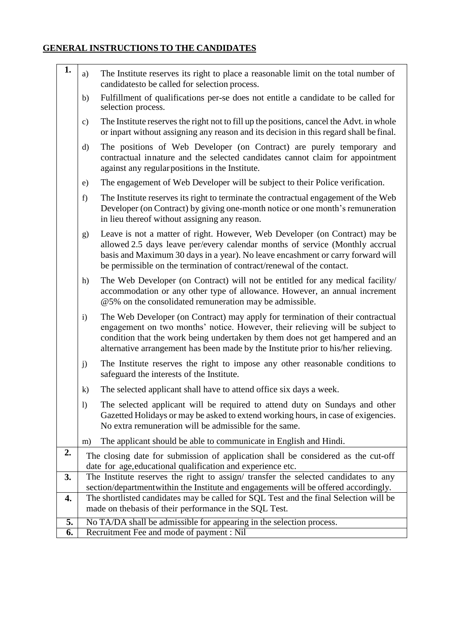## **GENERAL INSTRUCTIONS TO THE CANDIDATES**

| 1. | a)                                                                                                                                                                           | The Institute reserves its right to place a reasonable limit on the total number of<br>candidates to be called for selection process.                                                                                                                                                                                                  |  |
|----|------------------------------------------------------------------------------------------------------------------------------------------------------------------------------|----------------------------------------------------------------------------------------------------------------------------------------------------------------------------------------------------------------------------------------------------------------------------------------------------------------------------------------|--|
|    | b)                                                                                                                                                                           | Fulfillment of qualifications per-se does not entitle a candidate to be called for<br>selection process.                                                                                                                                                                                                                               |  |
|    | $\mathbf{c})$                                                                                                                                                                | The Institute reserves the right not to fill up the positions, cancel the Advt. in whole<br>or inpart without assigning any reason and its decision in this regard shall be final.                                                                                                                                                     |  |
|    | d)                                                                                                                                                                           | The positions of Web Developer (on Contract) are purely temporary and<br>contractual innature and the selected candidates cannot claim for appointment<br>against any regular positions in the Institute.                                                                                                                              |  |
|    | e)                                                                                                                                                                           | The engagement of Web Developer will be subject to their Police verification.                                                                                                                                                                                                                                                          |  |
|    | f)                                                                                                                                                                           | The Institute reserves its right to terminate the contractual engagement of the Web<br>Developer (on Contract) by giving one-month notice or one month's remuneration<br>in lieu thereof without assigning any reason.                                                                                                                 |  |
|    | g)                                                                                                                                                                           | Leave is not a matter of right. However, Web Developer (on Contract) may be<br>allowed 2.5 days leave per/every calendar months of service (Monthly accrual<br>basis and Maximum 30 days in a year). No leave encashment or carry forward will<br>be permissible on the termination of contract/renewal of the contact.                |  |
|    | h)                                                                                                                                                                           | The Web Developer (on Contract) will not be entitled for any medical facility/<br>accommodation or any other type of allowance. However, an annual increment<br>@5% on the consolidated remuneration may be admissible.                                                                                                                |  |
|    | $\mathbf{i}$                                                                                                                                                                 | The Web Developer (on Contract) may apply for termination of their contractual<br>engagement on two months' notice. However, their relieving will be subject to<br>condition that the work being undertaken by them does not get hampered and an<br>alternative arrangement has been made by the Institute prior to his/her relieving. |  |
|    | j)                                                                                                                                                                           | The Institute reserves the right to impose any other reasonable conditions to<br>safeguard the interests of the Institute.                                                                                                                                                                                                             |  |
|    | $\mathbf{k}$                                                                                                                                                                 | The selected applicant shall have to attend office six days a week.                                                                                                                                                                                                                                                                    |  |
|    | 1)                                                                                                                                                                           | The selected applicant will be required to attend duty on Sundays and other<br>Gazetted Holidays or may be asked to extend working hours, in case of exigencies.<br>No extra remuneration will be admissible for the same.                                                                                                             |  |
|    | m)                                                                                                                                                                           | The applicant should be able to communicate in English and Hindi.                                                                                                                                                                                                                                                                      |  |
| 2. |                                                                                                                                                                              | The closing date for submission of application shall be considered as the cut-off                                                                                                                                                                                                                                                      |  |
|    | date for age, educational qualification and experience etc.                                                                                                                  |                                                                                                                                                                                                                                                                                                                                        |  |
| 3. | The Institute reserves the right to assign/ transfer the selected candidates to any                                                                                          |                                                                                                                                                                                                                                                                                                                                        |  |
| 4. | section/departmentwithin the Institute and engagements will be offered accordingly.<br>The shortlisted candidates may be called for SQL Test and the final Selection will be |                                                                                                                                                                                                                                                                                                                                        |  |
|    |                                                                                                                                                                              | made on the basis of their performance in the SQL Test.                                                                                                                                                                                                                                                                                |  |
| 5. |                                                                                                                                                                              | No TA/DA shall be admissible for appearing in the selection process.                                                                                                                                                                                                                                                                   |  |
| 6. |                                                                                                                                                                              | Recruitment Fee and mode of payment : Nil                                                                                                                                                                                                                                                                                              |  |